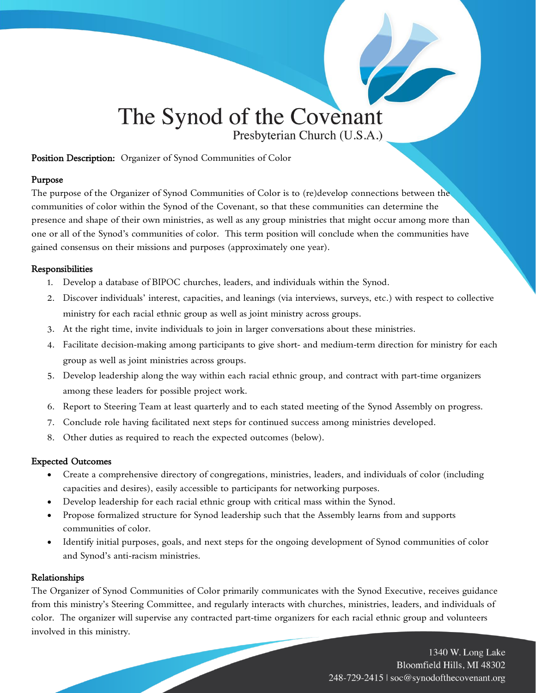# The Synod of the Covenant Presbyterian Church (U.S.A.)

#### Position Description: Organizer of Synod Communities of Color

#### Purpose

The purpose of the Organizer of Synod Communities of Color is to (re)develop connections between the communities of color within the Synod of the Covenant, so that these communities can determine the presence and shape of their own ministries, as well as any group ministries that might occur among more than one or all of the Synod's communities of color. This term position will conclude when the communities have gained consensus on their missions and purposes (approximately one year).

#### Responsibilities

- 1. Develop a database of BIPOC churches, leaders, and individuals within the Synod.
- 2. Discover individuals' interest, capacities, and leanings (via interviews, surveys, etc.) with respect to collective ministry for each racial ethnic group as well as joint ministry across groups.
- 3. At the right time, invite individuals to join in larger conversations about these ministries.
- 4. Facilitate decision-making among participants to give short- and medium-term direction for ministry for each group as well as joint ministries across groups.
- 5. Develop leadership along the way within each racial ethnic group, and contract with part-time organizers among these leaders for possible project work.
- 6. Report to Steering Team at least quarterly and to each stated meeting of the Synod Assembly on progress.
- 7. Conclude role having facilitated next steps for continued success among ministries developed.
- 8. Other duties as required to reach the expected outcomes (below).

### Expected Outcomes

- Create a comprehensive directory of congregations, ministries, leaders, and individuals of color (including capacities and desires), easily accessible to participants for networking purposes.
- Develop leadership for each racial ethnic group with critical mass within the Synod.
- Propose formalized structure for Synod leadership such that the Assembly learns from and supports communities of color.
- Identify initial purposes, goals, and next steps for the ongoing development of Synod communities of color and Synod's anti-racism ministries.

### Relationships

The Organizer of Synod Communities of Color primarily communicates with the Synod Executive, receives guidance from this ministry's Steering Committee, and regularly interacts with churches, ministries, leaders, and individuals of color. The organizer will supervise any contracted part-time organizers for each racial ethnic group and volunteers involved in this ministry.

> 1340 W. Long Lake Bloomfield Hills, MI 48302 248-729-2415 | soc@synodofthecovenant.org

**Contract on the Contract of Contract on the Contract of Contract on the Contract of Contract on the Contract o**